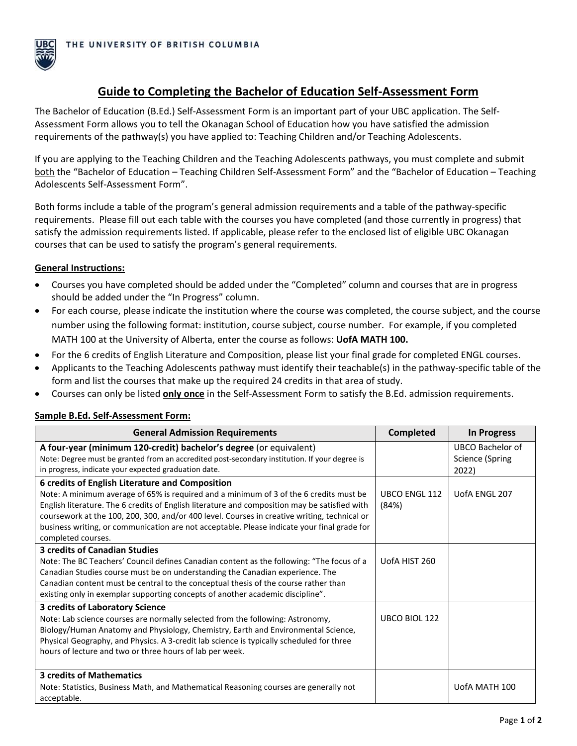

# **Guide to Completing the Bachelor of Education Self-Assessment Form**

The Bachelor of Education (B.Ed.) Self-Assessment Form is an important part of your UBC application. The Self-Assessment Form allows you to tell the Okanagan School of Education how you have satisfied the admission requirements of the pathway(s) you have applied to: Teaching Children and/or Teaching Adolescents.

If you are applying to the Teaching Children and the Teaching Adolescents pathways, you must complete and submit both the "Bachelor of Education – Teaching Children Self-Assessment Form" and the "Bachelor of Education – Teaching Adolescents Self-Assessment Form".

Both forms include a table of the program's general admission requirements and a table of the pathway-specific requirements. Please fill out each table with the courses you have completed (and those currently in progress) that satisfy the admission requirements listed. If applicable, please refer to the enclosed list of eligible UBC Okanagan courses that can be used to satisfy the program's general requirements.

#### **General Instructions:**

- Courses you have completed should be added under the "Completed" column and courses that are in progress should be added under the "In Progress" column.
- For each course, please indicate the institution where the course was completed, the course subject, and the course number using the following format: institution, course subject, course number. For example, if you completed MATH 100 at the University of Alberta, enter the course as follows: **UofA MATH 100.**
- For the 6 credits of English Literature and Composition, please list your final grade for completed ENGL courses.
- Applicants to the Teaching Adolescents pathway must identify their teachable(s) in the pathway-specific table of the form and list the courses that make up the required 24 credits in that area of study.
- Courses can only be listed **only once** in the Self-Assessment Form to satisfy the B.Ed. admission requirements.

| <b>General Admission Requirements</b>                                                         | <b>Completed</b>     | <b>In Progress</b>     |
|-----------------------------------------------------------------------------------------------|----------------------|------------------------|
| A four-year (minimum 120-credit) bachelor's degree (or equivalent)                            |                      | UBCO Bachelor of       |
| Note: Degree must be granted from an accredited post-secondary institution. If your degree is |                      | <b>Science (Spring</b> |
| in progress, indicate your expected graduation date.                                          |                      | 2022)                  |
| 6 credits of English Literature and Composition                                               |                      |                        |
| Note: A minimum average of 65% is required and a minimum of 3 of the 6 credits must be        | <b>UBCO ENGL 112</b> | UofA ENGL 207          |
| English literature. The 6 credits of English literature and composition may be satisfied with | (84%)                |                        |
| coursework at the 100, 200, 300, and/or 400 level. Courses in creative writing, technical or  |                      |                        |
| business writing, or communication are not acceptable. Please indicate your final grade for   |                      |                        |
| completed courses.                                                                            |                      |                        |
| <b>3 credits of Canadian Studies</b>                                                          |                      |                        |
| Note: The BC Teachers' Council defines Canadian content as the following: "The focus of a     | UofA HIST 260        |                        |
| Canadian Studies course must be on understanding the Canadian experience. The                 |                      |                        |
| Canadian content must be central to the conceptual thesis of the course rather than           |                      |                        |
| existing only in exemplar supporting concepts of another academic discipline".                |                      |                        |
| 3 credits of Laboratory Science                                                               |                      |                        |
| Note: Lab science courses are normally selected from the following: Astronomy,                | UBCO BIOL 122        |                        |
| Biology/Human Anatomy and Physiology, Chemistry, Earth and Environmental Science,             |                      |                        |
| Physical Geography, and Physics. A 3-credit lab science is typically scheduled for three      |                      |                        |
| hours of lecture and two or three hours of lab per week.                                      |                      |                        |
|                                                                                               |                      |                        |
| <b>3 credits of Mathematics</b>                                                               |                      |                        |
| Note: Statistics, Business Math, and Mathematical Reasoning courses are generally not         |                      | UofA MATH 100          |
| acceptable.                                                                                   |                      |                        |

#### **Sample B.Ed. Self-Assessment Form:**